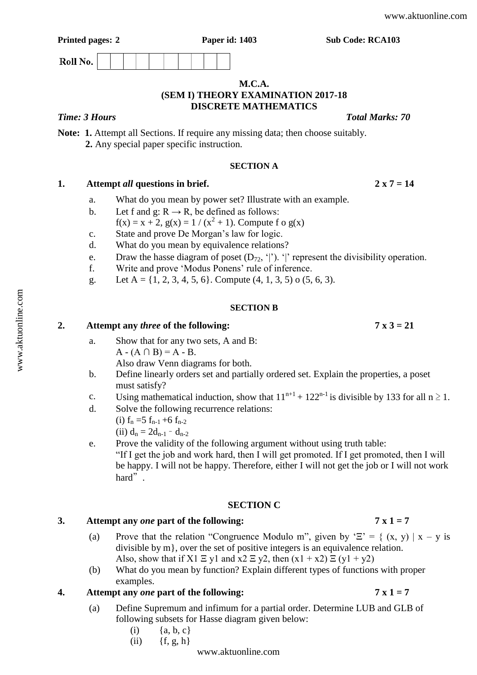Roll No.

## **M.C.A. (SEM I) THEORY EXAMINATION 2017-18 DISCRETE MATHEMATICS**

# *Time: 3 Hours Total Marks: 70*

**Note: 1.** Attempt all Sections. If require any missing data; then choose suitably. **2.** Any special paper specific instruction.

## **SECTION A**

# **1. Attempt** *all* **questions in brief. 2 x 7 = 14**

- a. What do you mean by power set? Illustrate with an example.
- b. Let f and g:  $R \rightarrow R$ , be defined as follows:
	- $f(x) = x + 2$ ,  $g(x) = 1 / (x^2 + 1)$ . Compute f o  $g(x)$
- c. State and prove De Morgan"s law for logic.
- d. What do you mean by equivalence relations?
- e. Draw the hasse diagram of poset  $(D_{72}, '')$ . '|' represent the divisibility operation.
- f. Write and prove "Modus Ponens" rule of inference.
- g. Let A =  $\{1, 2, 3, 4, 5, 6\}$ . Compute  $(4, 1, 3, 5)$  o  $(5, 6, 3)$ .

## **SECTION B**

# **2. Attempt any** *three* **of the following: 7 x 3 = 21**

- a. Show that for any two sets, A and B:  $A - (A \cap B) = A - B$ . Also draw Venn diagrams for both.
- b. Define linearly orders set and partially ordered set. Explain the properties, a poset must satisfy?
- c. Using mathematical induction, show that  $11^{n+1} + 122^{n-1}$  is divisible by 133 for all  $n \ge 1$ .
- d. Solve the following recurrence relations:
	- (i)  $f_n = 5 f_{n-1} + 6 f_{n-2}$
	- (ii)  $d_n = 2d_{n-1} d_{n-2}$
- e. Prove the validity of the following argument without using truth table: "If I get the job and work hard, then I will get promoted. If I get promoted, then I will be happy. I will not be happy. Therefore, either I will not get the job or I will not work hard".

### **SECTION C**

# **3. Attempt any** *one* **part of the following: 7 x 1 = 7**

- (a) Prove that the relation "Congruence Modulo m", given by  $\mathcal{E}' = \{ (x, y) | x y \}$  is divisible by m}, over the set of positive integers is an equivalence relation. Also, show that if  $X1 \nightharpoonup y1$  and  $x2 \nightharpoonup y2$ , then  $(x1 + x2) \nightharpoonup (y1 + y2)$
- (b) What do you mean by function? Explain different types of functions with proper examples.

# **4. Attempt any** *one* **part of the following: 7 x 1 = 7**

- (a) Define Supremum and infimum for a partial order. Determine LUB and GLB of following subsets for Hasse diagram given below:
	- (i)  ${a, b, c}$
	- (ii) {f, g, h}

### [www.aktuonline.com](http://www.aktuonline.com)

[www.aktuonline.com](http://www.aktuonline.com)

www.aktuonline.com